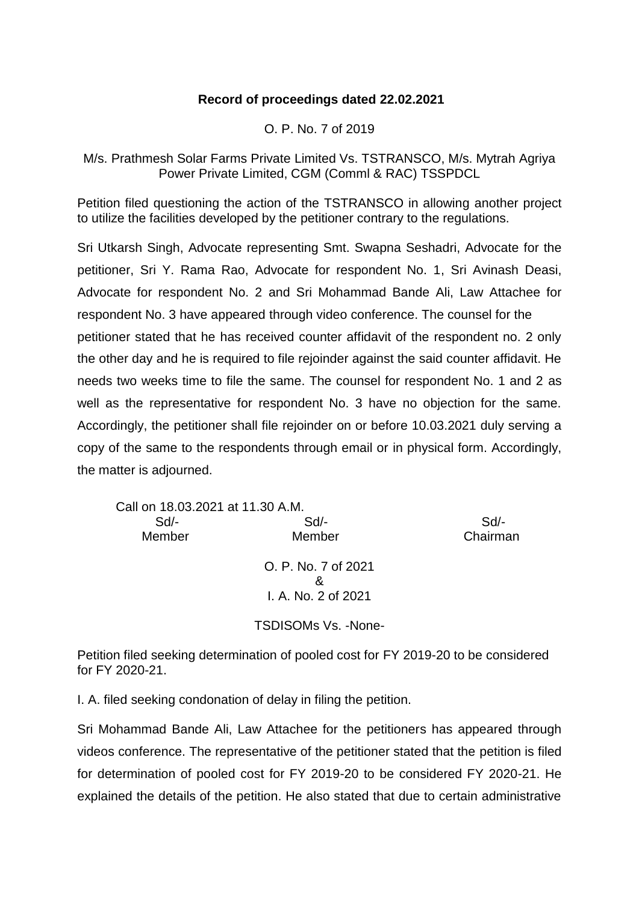## **Record of proceedings dated 22.02.2021**

## O. P. No. 7 of 2019

## M/s. Prathmesh Solar Farms Private Limited Vs. TSTRANSCO, M/s. Mytrah Agriya Power Private Limited, CGM (Comml & RAC) TSSPDCL

Petition filed questioning the action of the TSTRANSCO in allowing another project to utilize the facilities developed by the petitioner contrary to the regulations.

Sri Utkarsh Singh, Advocate representing Smt. Swapna Seshadri, Advocate for the petitioner, Sri Y. Rama Rao, Advocate for respondent No. 1, Sri Avinash Deasi, Advocate for respondent No. 2 and Sri Mohammad Bande Ali, Law Attachee for respondent No. 3 have appeared through video conference. The counsel for the petitioner stated that he has received counter affidavit of the respondent no. 2 only the other day and he is required to file rejoinder against the said counter affidavit. He needs two weeks time to file the same. The counsel for respondent No. 1 and 2 as well as the representative for respondent No. 3 have no objection for the same. Accordingly, the petitioner shall file rejoinder on or before 10.03.2021 duly serving a copy of the same to the respondents through email or in physical form. Accordingly, the matter is adjourned.

| Call on 18.03.2021 at 11.30 A.M. |                     |          |
|----------------------------------|---------------------|----------|
| Sd                               | $Sd$ -              | Sd/-     |
| Member                           | Member              | Chairman |
|                                  | O. P. No. 7 of 2021 |          |
|                                  | &                   |          |
|                                  | I. A. No. 2 of 2021 |          |
|                                  |                     |          |

TSDISOMs Vs. -None-

Petition filed seeking determination of pooled cost for FY 2019-20 to be considered for FY 2020-21.

I. A. filed seeking condonation of delay in filing the petition.

Sri Mohammad Bande Ali, Law Attachee for the petitioners has appeared through videos conference. The representative of the petitioner stated that the petition is filed for determination of pooled cost for FY 2019-20 to be considered FY 2020-21. He explained the details of the petition. He also stated that due to certain administrative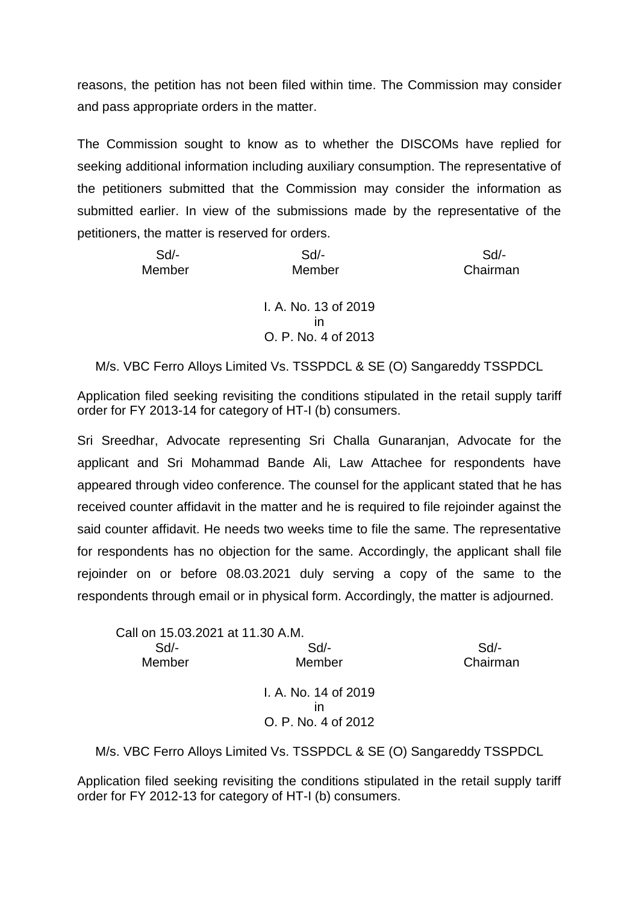reasons, the petition has not been filed within time. The Commission may consider and pass appropriate orders in the matter.

The Commission sought to know as to whether the DISCOMs have replied for seeking additional information including auxiliary consumption. The representative of the petitioners submitted that the Commission may consider the information as submitted earlier. In view of the submissions made by the representative of the petitioners, the matter is reserved for orders.

| $Sd$ - | $Sd$ -                     | $Sd$ -   |
|--------|----------------------------|----------|
| Member | Member                     | Chairman |
|        | I. A. No. 13 of 2019<br>ın |          |

O. P. No. 4 of 2013

M/s. VBC Ferro Alloys Limited Vs. TSSPDCL & SE (O) Sangareddy TSSPDCL

Application filed seeking revisiting the conditions stipulated in the retail supply tariff order for FY 2013-14 for category of HT-I (b) consumers.

Sri Sreedhar, Advocate representing Sri Challa Gunaranjan, Advocate for the applicant and Sri Mohammad Bande Ali, Law Attachee for respondents have appeared through video conference. The counsel for the applicant stated that he has received counter affidavit in the matter and he is required to file rejoinder against the said counter affidavit. He needs two weeks time to file the same. The representative for respondents has no objection for the same. Accordingly, the applicant shall file rejoinder on or before 08.03.2021 duly serving a copy of the same to the respondents through email or in physical form. Accordingly, the matter is adjourned.

| Call on 15.03.2021 at 11.30 A.M. |                      |          |
|----------------------------------|----------------------|----------|
| Sd                               | $Sd$ -               | $Sd$ -   |
| Member                           | Member               | Chairman |
|                                  | I. A. No. 14 of 2019 |          |
|                                  | ın                   |          |
|                                  | O. P. No. 4 of 2012  |          |

M/s. VBC Ferro Alloys Limited Vs. TSSPDCL & SE (O) Sangareddy TSSPDCL

Application filed seeking revisiting the conditions stipulated in the retail supply tariff order for FY 2012-13 for category of HT-I (b) consumers.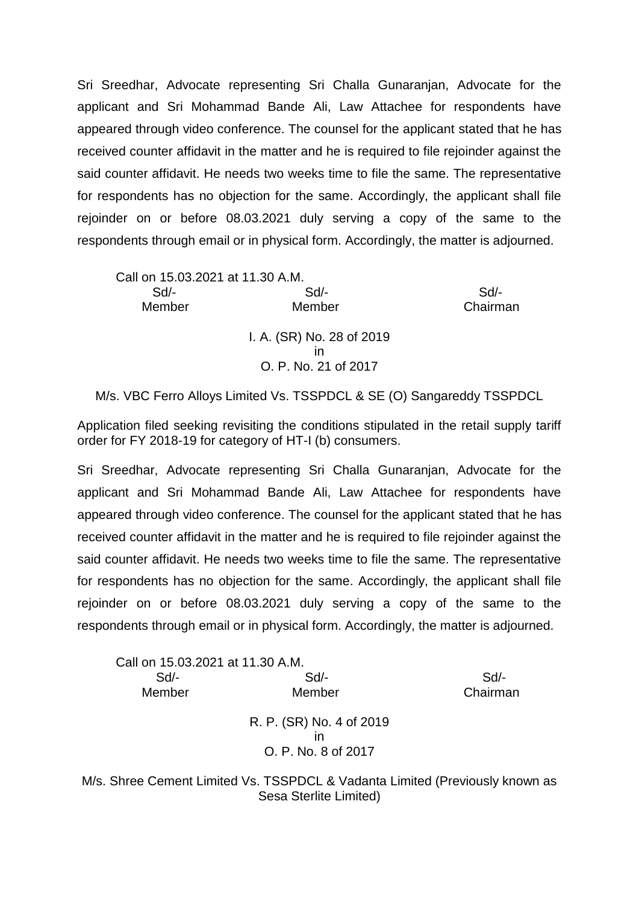Sri Sreedhar, Advocate representing Sri Challa Gunaranjan, Advocate for the applicant and Sri Mohammad Bande Ali, Law Attachee for respondents have appeared through video conference. The counsel for the applicant stated that he has received counter affidavit in the matter and he is required to file rejoinder against the said counter affidavit. He needs two weeks time to file the same. The representative for respondents has no objection for the same. Accordingly, the applicant shall file rejoinder on or before 08.03.2021 duly serving a copy of the same to the respondents through email or in physical form. Accordingly, the matter is adjourned.

| Call on 15.03.2021 at 11.30 A.M. |                           |          |
|----------------------------------|---------------------------|----------|
| Sd                               | $Sd$ -                    | $Sd$ -   |
| Member                           | Member                    | Chairman |
|                                  | I. A. (SR) No. 28 of 2019 |          |
|                                  | ın                        |          |
|                                  | O. P. No. 21 of 2017      |          |

M/s. VBC Ferro Alloys Limited Vs. TSSPDCL & SE (O) Sangareddy TSSPDCL

Application filed seeking revisiting the conditions stipulated in the retail supply tariff order for FY 2018-19 for category of HT-I (b) consumers.

Sri Sreedhar, Advocate representing Sri Challa Gunaranjan, Advocate for the applicant and Sri Mohammad Bande Ali, Law Attachee for respondents have appeared through video conference. The counsel for the applicant stated that he has received counter affidavit in the matter and he is required to file rejoinder against the said counter affidavit. He needs two weeks time to file the same. The representative for respondents has no objection for the same. Accordingly, the applicant shall file rejoinder on or before 08.03.2021 duly serving a copy of the same to the respondents through email or in physical form. Accordingly, the matter is adjourned.

| Call on 15.03.2021 at 11.30 A.M. |                                                 |          |
|----------------------------------|-------------------------------------------------|----------|
| Sd                               | Sd                                              | Sd       |
| Member                           | Member                                          | Chairman |
|                                  | R. P. (SR) No. 4 of 2019<br>O. P. No. 8 of 2017 |          |

M/s. Shree Cement Limited Vs. TSSPDCL & Vadanta Limited (Previously known as Sesa Sterlite Limited)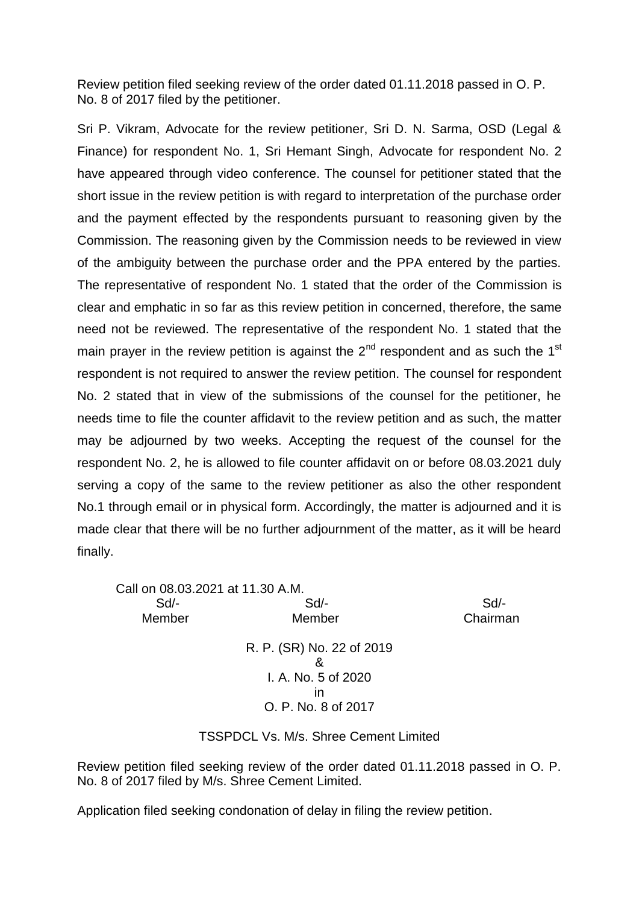Review petition filed seeking review of the order dated 01.11.2018 passed in O. P. No. 8 of 2017 filed by the petitioner.

Sri P. Vikram, Advocate for the review petitioner, Sri D. N. Sarma, OSD (Legal & Finance) for respondent No. 1, Sri Hemant Singh, Advocate for respondent No. 2 have appeared through video conference. The counsel for petitioner stated that the short issue in the review petition is with regard to interpretation of the purchase order and the payment effected by the respondents pursuant to reasoning given by the Commission. The reasoning given by the Commission needs to be reviewed in view of the ambiguity between the purchase order and the PPA entered by the parties. The representative of respondent No. 1 stated that the order of the Commission is clear and emphatic in so far as this review petition in concerned, therefore, the same need not be reviewed. The representative of the respondent No. 1 stated that the main prayer in the review petition is against the  $2^{nd}$  respondent and as such the 1<sup>st</sup> respondent is not required to answer the review petition. The counsel for respondent No. 2 stated that in view of the submissions of the counsel for the petitioner, he needs time to file the counter affidavit to the review petition and as such, the matter may be adjourned by two weeks. Accepting the request of the counsel for the respondent No. 2, he is allowed to file counter affidavit on or before 08.03.2021 duly serving a copy of the same to the review petitioner as also the other respondent No.1 through email or in physical form. Accordingly, the matter is adjourned and it is made clear that there will be no further adjournment of the matter, as it will be heard finally.

| Call on 08.03.2021 at 11.30 A.M. |                           |          |
|----------------------------------|---------------------------|----------|
| Sd                               | Sd                        | Sd       |
| Member                           | Member                    | Chairman |
|                                  | R. P. (SR) No. 22 of 2019 |          |
|                                  | ጼ                         |          |
|                                  | I. A. No. 5 of 2020       |          |
|                                  | ın                        |          |
|                                  | O. P. No. 8 of 2017       |          |
|                                  |                           |          |

## TSSPDCL Vs. M/s. Shree Cement Limited

Review petition filed seeking review of the order dated 01.11.2018 passed in O. P. No. 8 of 2017 filed by M/s. Shree Cement Limited.

Application filed seeking condonation of delay in filing the review petition.